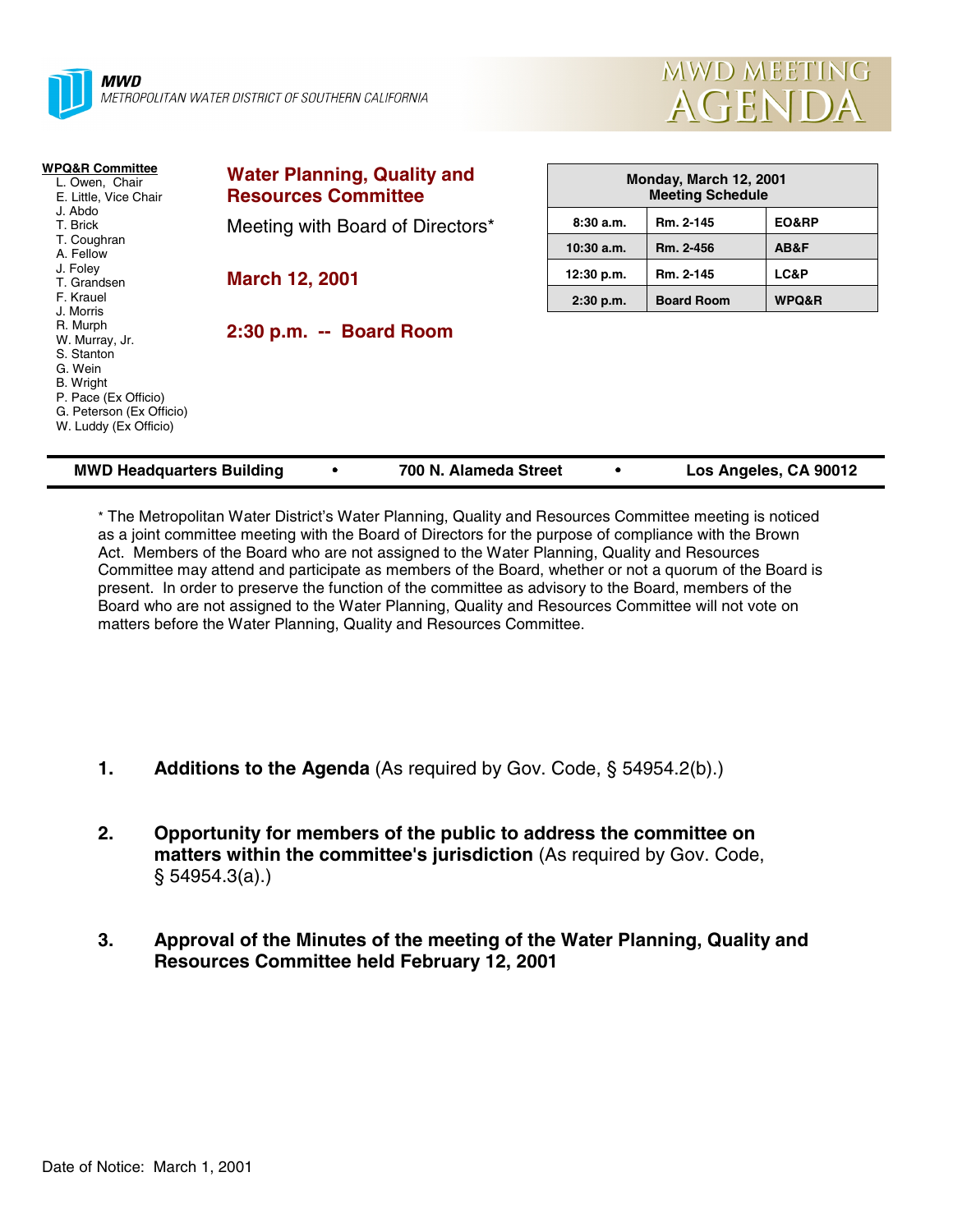



| <b>WPQ&amp;R Committee</b><br>L. Owen, Chair<br>E. Little, Vice Chair<br>J. Abdo<br>T. Brick                                                  | <b>Water Planning, Quality and</b><br><b>Resources Committee</b> | Monday, March 12, 2001<br><b>Meeting Schedule</b> |                   |       |
|-----------------------------------------------------------------------------------------------------------------------------------------------|------------------------------------------------------------------|---------------------------------------------------|-------------------|-------|
|                                                                                                                                               | Meeting with Board of Directors*                                 | 8:30a.m.                                          | Rm. 2-145         | EO&RP |
| T. Coughran<br>A. Fellow                                                                                                                      |                                                                  | $10:30$ a.m.                                      | Rm. 2-456         | AB&F  |
| J. Foley<br>T. Grandsen                                                                                                                       | <b>March 12, 2001</b>                                            | 12:30 p.m.                                        | Rm. 2-145         | LC&P  |
| F. Krauel<br>J. Morris                                                                                                                        |                                                                  | $2:30$ p.m.                                       | <b>Board Room</b> | WPQ&R |
| R. Murph<br>W. Murray, Jr.<br>S. Stanton<br>G. Wein<br>B. Wright<br>P. Pace (Ex Officio)<br>G. Peterson (Ex Officio)<br>W. Luddy (Ex Officio) | 2:30 p.m. -- Board Room                                          |                                                   |                   |       |
| <b>MWD Headquarters Building</b><br>700 N. Alameda Street<br>Los Angeles, CA 90012                                                            |                                                                  |                                                   |                   |       |

\* The Metropolitan Water District's Water Planning, Quality and Resources Committee meeting is noticed as a joint committee meeting with the Board of Directors for the purpose of compliance with the Brown Act. Members of the Board who are not assigned to the Water Planning, Quality and Resources Committee may attend and participate as members of the Board, whether or not a quorum of the Board is present. In order to preserve the function of the committee as advisory to the Board, members of the Board who are not assigned to the Water Planning, Quality and Resources Committee will not vote on matters before the Water Planning, Quality and Resources Committee.

- **1. Additions to the Agenda** (As required by Gov. Code, § 54954.2(b).)
- **2. Opportunity for members of the public to address the committee on matters within the committee's jurisdiction** (As required by Gov. Code, § 54954.3(a).)
- **3. Approval of the Minutes of the meeting of the Water Planning, Quality and Resources Committee held February 12, 2001**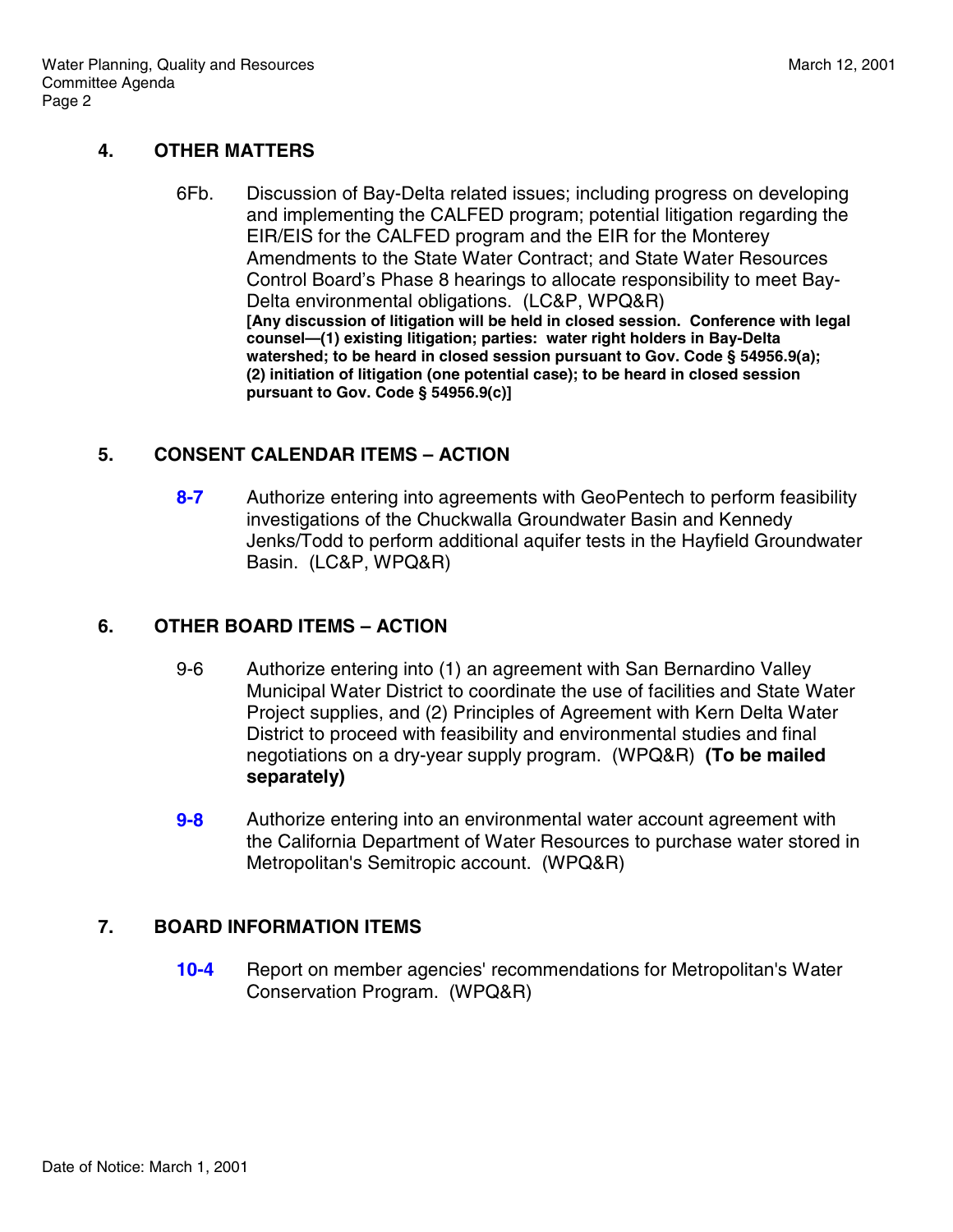## **4. OTHER MATTERS**

6Fb. Discussion of Bay-Delta related issues; including progress on developing and implementing the CALFED program; potential litigation regarding the EIR/EIS for the CALFED program and the EIR for the Monterey Amendments to the State Water Contract; and State Water Resources Control Board's Phase 8 hearings to allocate responsibility to meet Bay-Delta environmental obligations. (LC&P, WPQ&R) **[Any discussion of litigation will be held in closed session. Conference with legal counsel—(1) existing litigation; parties: water right holders in Bay-Delta watershed; to be heard in closed session pursuant to Gov. Code § 54956.9(a); (2) initiation of litigation (one potential case); to be heard in closed session pursuant to Gov. Code § 54956.9(c)]**

## **5. CONSENT CALENDAR ITEMS – ACTION**

**8-7** Authorize entering into agreements with GeoPentech to perform feasibility investigations of the Chuckwalla Groundwater Basin and Kennedy Jenks/Todd to perform additional aquifer tests in the Hayfield Groundwater Basin. (LC&P, WPQ&R)

## **6. OTHER BOARD ITEMS – ACTION**

- 9-6 Authorize entering into (1) an agreement with San Bernardino Valley Municipal Water District to coordinate the use of facilities and State Water Project supplies, and (2) Principles of Agreement with Kern Delta Water District to proceed with feasibility and environmental studies and final negotiations on a dry-year supply program. (WPQ&R) **(To be mailed separately)**
- **9-8** Authorize entering into an environmental water account agreement with the California Department of Water Resources to purchase water stored in Metropolitan's Semitropic account. (WPQ&R)

# **7. BOARD INFORMATION ITEMS**

**10-4** Report on member agencies' recommendations for Metropolitan's Water Conservation Program. (WPQ&R)